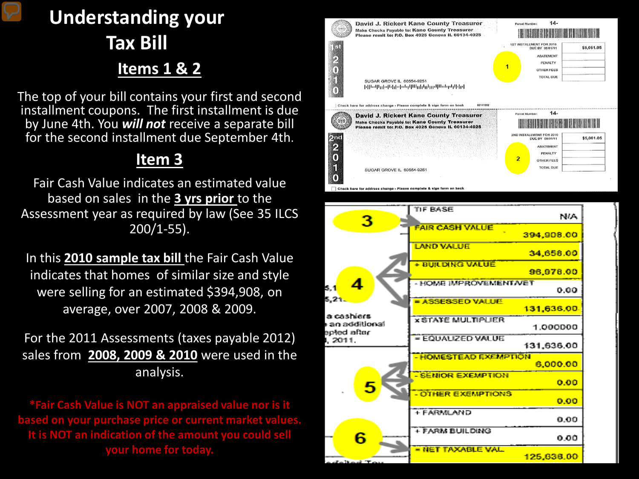# **Understanding your Tax Bill Items 1 & 2**

The top of your bill contains your first and second installment coupons. The first installment is due by June 4th. You *will not* receive a separate bill for the second installment due September 4th.

### **Item 3**

Fair Cash Value indicates an estimated value based on sales in the **3 yrs prior** to the Assessment year as required by law (See 35 ILCS 200/1-55).

In this **2010 sample tax bill** the Fair Cash Value indicates that homes of similar size and style were selling for an estimated \$394,908, on average, over 2007, 2008 & 2009.

For the 2011 Assessments (taxes payable 2012) sales from **2008, 2009 & 2010** were used in the analysis.

**\*Fair Cash Value is NOT an appraised value nor is it based on your purchase price or current market values. It is NOT an indication of the amount you could sell your home for today.**



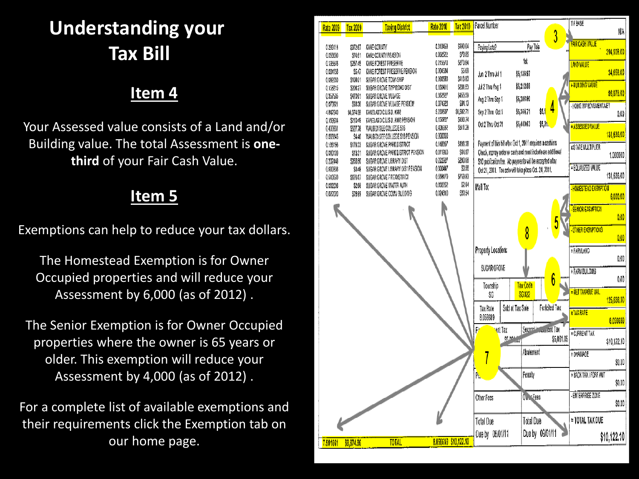# **Understanding your Tax Bill**

### **Item 4**

Your Assessed value consists of a Land and/or Building value. The total Assessment is **onethird** of your Fair Cash Value.

#### **Item 5**

Exemptions can help to reduce your tax dollars.

The Homestead Exemption is for Owner Occupied properties and will reduce your Assessment by 6,000 (as of 2012) .

The Senior Exemption is for Owner Occupied properties where the owner is 65 years or older. This exemption will reduce your Assessment by 4,000 (as of 2012) .

For a complete list of available exemptions and their requirements click the Exemption tab on our home page.

| Rate 2009            | Tax 2009             | <b>Taxing District</b>                              | <b>Rate 2010</b>     | <b>Tax 2010</b>    | Parcel Number                                              |                          | TIF BASE<br>NW                      |
|----------------------|----------------------|-----------------------------------------------------|----------------------|--------------------|------------------------------------------------------------|--------------------------|-------------------------------------|
|                      |                      |                                                     |                      |                    |                                                            | 3                        |                                     |
| 0283114              | \$372.67             | KANE COUNTY                                         | 0.310453             | \$390.04           | Paying Late?                                               | Pay This                 | <b>FAIR CASH VALUE</b>              |
| 0.059580             | \$74.61              | KANE COUNTY PENSION                                 | 0.062522             | \$78.65            |                                                            |                          | 394,908.00                          |
| 0.195578             | \$267.45             | KANE FOREST PRESERVE                                | 0215570              | \$270.84           |                                                            | 1st                      | LAND VALUE                          |
| 0.004156             | \$5.47               | KANE FOREST PRESERVE PENSION                        | 0.004534             | \$5.69             | Jun 2 Thru Jul 1                                           | \$5,136.97               | 34,658.00                           |
| 0.082050             | \$108.01             | SUGAR GROVE TOWNSHIP                                | 0.090580<br>0.160411 | \$13.80<br>5201.53 | Jul 2 Thru Aug 1                                           | \$5,212.88               | + BUILDING VALUE                    |
| 0.158215<br>0.357505 | \$208.27<br>\$470.61 | SUGAR GROVE TWP ROAD DIST<br>SUGAR GROVE VILLAGE    | 0.362627             | \$455.59           |                                                            |                          | 96,978.00                           |
| 0.070921             | \$93.36              | SUGAR GROVE VILLAGE PENSION                         | 0.074923             | \$94.13            | Aug 2 Thru Sep 1                                           | \$5,288.80               |                                     |
| 4.842540             | \$6,374.58           | KANELAND C.U.S.D. #302                              | 5 239507             | \$9,582.71         | Sep 2 Thru Oct 1                                           | 4<br>\$5,1<br>\$5,364.71 | <b>HOME IMPROVEMENT/VET</b><br>0.00 |
| 0.169904             | \$210.49             | KANELAND C.U.S.D. #302 PENSION                      | 0.150227             | \$188.74           |                                                            |                          |                                     |
| 0.400931             | \$527.78             | WAUBONSEE COLLEGE 516                               | 0.406952             | \$511.28           | Oct 2 Thru Oct 21                                          | \$5,21.<br>\$5,440.63    | ASSESSED VALUE                      |
| 0.003345             | \$4.40               | WAUBONSEE COLLEGE \$16 PENSION                      | 0.000000             |                    |                                                            |                          | 131,636.00                          |
| 0.136156             | \$179.23             | SUGAR GROVE PARK DISTRICT                           | 0.148357             | \$190.38           | Payment of this bill after Oct 1, 2011 requires a cashiers |                          | <b><i>XSTATE MULTIPLIER</i></b>     |
| 0.010109             | \$13.31              | SUGAR GROVE PARK DISTRICT PENSION                   | 0.011910             | \$14.97            | Check, money order or cash and must include an additional  |                          | 1,000000                            |
| 0.202448             | \$268.50             | SUGAR GROVE LIBRARY DIST                            | 0.222027             | \$280.08           | \$10 publication fee. No payments will be accepted after   |                          | - EQUALIZED VALUE                   |
| 0.000366             | \$0.48               | SUGAR GROVE LIBRARY DIST PENSION                    | 0.000447<br>0.568170 | \$0.58<br>\$713.83 | Oct 21, 2011. Tax sale will take place Oct. 24, 2011.      |                          | 131,636.00                          |
| 0.513589<br>0.002036 | \$676.07<br>\$2.68   | SUGAR GROVE FIRE DISTRICT<br>SUGAR GROVE WATER AUTH | 0.002262             | \$2.84             |                                                            |                          |                                     |
| 0.022020             | \$28.99              | SUGAR GROVE COMM BUILDING                           | 0.024310             | \$30.54            | Mail To:                                                   |                          | - HOMESTEAD EXEMPTION               |
|                      |                      |                                                     |                      |                    |                                                            |                          | 6,000.00                            |
|                      |                      |                                                     |                      |                    |                                                            |                          | <b>SENIOR EXEMPTION</b>             |
|                      |                      |                                                     |                      |                    |                                                            |                          | 0.00                                |
|                      |                      |                                                     |                      |                    |                                                            | 5                        | <b>OTHER EXEMPTIONS</b>             |
|                      |                      |                                                     |                      |                    |                                                            | 8                        | 0.00                                |
|                      |                      |                                                     |                      |                    |                                                            |                          |                                     |
|                      |                      |                                                     |                      |                    | Property Location:                                         |                          | + FARMLAND                          |
|                      |                      |                                                     |                      |                    |                                                            |                          | 0.00                                |
|                      |                      |                                                     |                      |                    | SUGAR GROVE                                                |                          | + FARM BUILDING                     |
|                      |                      |                                                     |                      |                    |                                                            | 6                        | 0.00                                |
|                      |                      |                                                     |                      |                    | Township                                                   | Tax Code<br><b>SG022</b> | - NET TAXABLE VAL                   |
|                      |                      |                                                     |                      |                    | ŜĜ                                                         |                          | 125,636.00                          |
|                      |                      |                                                     |                      |                    | Sold at Tax Sale<br>Tax Rate                               | Forfeited Tax            | <b>XTAX RATE</b>                    |
|                      |                      |                                                     |                      |                    | 8.056689                                                   |                          | 8.056689                            |
|                      |                      |                                                     |                      |                    | <mark>r</mark> ent Tax<br>F                                | Second Incommont Tax     |                                     |
|                      |                      |                                                     |                      |                    | SE NO HOU                                                  | \$5,061.05               | = CURRENT TAX                       |
|                      |                      |                                                     |                      |                    |                                                            |                          | \$10,122.10                         |
|                      |                      |                                                     |                      |                    | 7                                                          | Abalement                | + DRAINAGE                          |
|                      |                      |                                                     |                      |                    |                                                            |                          | \$0.00                              |
|                      |                      |                                                     |                      |                    | Ŕ,                                                         | Penalty                  | + BACK TAX / FORE AMT               |
|                      |                      |                                                     |                      |                    |                                                            |                          | \$0,00                              |
|                      |                      |                                                     |                      |                    |                                                            |                          |                                     |
|                      |                      |                                                     |                      |                    | Other Fees                                                 | Out Fees                 | - ENTERPRISE ZONE                   |
|                      |                      |                                                     |                      |                    |                                                            |                          | \$0.00                              |
|                      |                      |                                                     |                      |                    | <b>Total Due</b>                                           | Total Due                | = TOTAL TAX DUE                     |
|                      |                      |                                                     |                      |                    |                                                            |                          |                                     |
|                      |                      |                                                     |                      |                    | Due by 06/01/11                                            | Due by 09/01/11          | \$10,122.10                         |
| 7.501661             | \$9,874.96           | <b>TOTAL</b>                                        | 8.056689 \$10,122.10 |                    |                                                            |                          |                                     |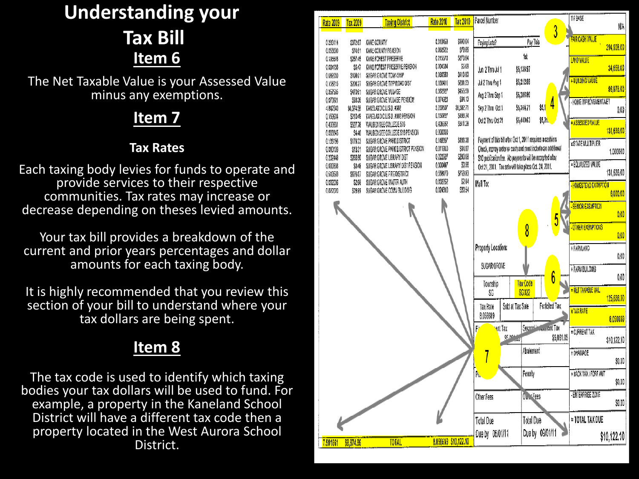## **Understanding your Tax Bill Item 6**

The Net Taxable Value is your Assessed Value minus any exemptions.

#### **Item 7**

#### **Tax Rates**

Each taxing body levies for funds to operate and provide services to their respective communities. Tax rates may increase or decrease depending on theses levied amounts.

Your tax bill provides a breakdown of the current and prior years percentages and dollar amounts for each taxing body.

It is highly recommended that you review this section of your bill to understand where your tax dollars are being spent.

## **Item 8**

The tax code is used to identify which taxing bodies your tax dollars will be used to fund. For example, a property in the Kaneland School District will have a different tax code then a property located in the West Aurora School District.

| <b>Rate 2009</b>     | Tax 2009            | <b>Taxing District</b>                                        | <b>Rate 2010</b>     | Tax 2010             | Parcel Number                                              |                  |                      | TIF BASE                        | NW          |
|----------------------|---------------------|---------------------------------------------------------------|----------------------|----------------------|------------------------------------------------------------|------------------|----------------------|---------------------------------|-------------|
|                      |                     |                                                               |                      |                      |                                                            |                  | 3                    | <b>FAIR CASH VALUE</b>          |             |
| 0283114<br>0.050580  | \$372.67<br>\$74.61 | KANE COUNTY<br>KANE COUNTY PEASION                            | 0.310453<br>0.062522 | \$390.04<br>578.85   | Paying Late?                                               | Pay This         |                      |                                 | 394,908.00  |
| 0.195578             | \$267.45            | KANE FOREST PRESERVE                                          | 0215570              | \$270.84             |                                                            | 1st              |                      | <b>LAND VALUE</b>               |             |
| 0.004156             | \$5.47              | KANE FOREST PRESERVE PENSION                                  | 0.004534             | \$5.69               | Jun 2 Thru Jul 1                                           | \$5,136.97       |                      |                                 | 34,658.00   |
| 0.082050             | \$108.01            | SUGAR GROVE TOWNSHIP                                          | 0.090580             | \$13.80              |                                                            |                  |                      | + BUILDING VALUE                |             |
| 0.158215             | \$208.27            | SUGAR GROVE TWP ROAD DIST                                     | 0.160411<br>0.362627 | \$201.53<br>\$455.59 | Jul 2 Thru Aug 1                                           | \$5,212.88       |                      |                                 | 96,978.00   |
| 0.357505<br>0.070921 | \$470.61<br>\$93.36 | SUGAR GROVE VILLAGE<br>SUGAR GROVE VILLAGE PENSION            | 0.074923             | \$94.13              | Aug 2 Thru Sep 1                                           | \$5,288.80       |                      | <b>HOME IMPROVEMENT/VET</b>     |             |
| 4.842540             | \$6,374.58          | KANELAND C.U.S.D. #302                                        | 5 239507             | \$8,582.71           | Sep 2 Thru Oct 1                                           | \$5,364.71       | \$5,1                |                                 | 0.00        |
| 0.169904             | \$210.49            | KANELAND C.U.S.D. #302 PENSION                                | 0.150227             | \$188.74             | Oct 2 Thru Oct 21                                          | \$5,440.63       | \$5,21.              | ASSESSED VALUE                  |             |
| 0.400931<br>0.003345 | \$527.78<br>\$4.40  | WAUBONSEE COLLEGE 516<br>WAUBONSEE COLLEGE \$16 PENSION       | 0.406952<br>0.000000 | \$511.28             |                                                            |                  |                      |                                 | 131,636.00  |
| 0.136156             | \$179.23            | SUGAR GROVE PARK DISTRICT                                     | 0.148357             | \$196.38             | Payment of this bill after Oct 1, 2011 requires a cashiers |                  |                      | <b><i>XSTATE MULTIPLIER</i></b> |             |
| 0.010109             | \$13.31             | SUGAR GROVE PARK DISTRICT PENSION                             | 0.011910             | \$14.97              | Check, money order or cash and must include an additional  |                  |                      |                                 | 1,000000    |
| 0.202448             | \$268.50            | SUGAR GROVE LIBRARY DIST                                      | 0222927              | \$280.08             | \$10 publication fee. No payments will be accepted after   |                  |                      |                                 |             |
| 0.000388<br>0.513589 | \$0.48<br>\$676.07  | SUGAR GROVE LIBRARY DIST PENSION<br>SUGAR GROVE FIRE DISTRICT | 0.000447<br>0.568170 | \$0.58<br>\$713.83   | Oct 21, 2011. Tax sale will take place Oct. 24, 2011.      |                  |                      | - EQUALIZED VALUE               | 131,636.00  |
| 0.002039             | \$2.68              | SUGAR GROVE WATER AUTH                                        | 0.002262             | 52.84                | Mail To:                                                   |                  |                      |                                 |             |
| 0.022020             | \$28.99             | SUGAR GROVE COMM BUILDING                                     | 0.024310             | \$30.54              |                                                            |                  |                      | - HOMESTEAD EXEMPTION           | 6,000.00    |
|                      |                     |                                                               |                      |                      |                                                            |                  |                      |                                 |             |
|                      |                     |                                                               |                      |                      |                                                            |                  |                      | <b>SENIOR EXEMPTION</b>         | 0.00        |
|                      |                     |                                                               |                      |                      |                                                            |                  |                      |                                 |             |
|                      |                     |                                                               |                      |                      |                                                            | 8                |                      | <b>OTHER EXEMPTIONS</b>         | 0.00        |
|                      |                     |                                                               |                      |                      | Property Location:                                         |                  |                      | + FARMLAND                      |             |
|                      |                     |                                                               |                      |                      |                                                            |                  |                      |                                 | 0.00        |
|                      |                     |                                                               |                      |                      | SUGAR GROVE                                                |                  |                      | + FARM BUILDING                 |             |
|                      |                     |                                                               |                      |                      |                                                            |                  | 6                    |                                 | 0.00        |
|                      |                     |                                                               |                      |                      | Township                                                   | Tax Code         |                      | <b>= NET TAXABLE VAL.</b>       |             |
|                      |                     |                                                               |                      |                      | ŜĜ                                                         | <b>SG022</b>     |                      |                                 | 125,636.00  |
|                      |                     |                                                               |                      |                      | Tax Rate                                                   | Sold at Tax Sale | Forfeited Tax        | <b>XTAX RATE</b>                |             |
|                      |                     |                                                               |                      |                      | 8.056699                                                   |                  |                      |                                 | 8.056689    |
|                      |                     |                                                               |                      |                      | <mark>r</mark> ent Tax<br>F                                |                  | Second Incommont Tax | = CURRENT TAX                   |             |
|                      |                     |                                                               |                      |                      |                                                            | SE MA            | \$5,061.05           |                                 | \$10,122.10 |
|                      |                     |                                                               |                      |                      |                                                            | Abatement        |                      | + DRAINAGE                      |             |
|                      |                     |                                                               |                      |                      | 7                                                          |                  |                      |                                 | \$0.00      |
|                      |                     |                                                               |                      |                      | Ŕ,                                                         | Penalty          |                      | + BACK TAX / FORF AMT           |             |
|                      |                     |                                                               |                      |                      |                                                            |                  |                      |                                 | \$0,00      |
|                      |                     |                                                               |                      |                      |                                                            | On Fees          |                      | <b>ENTERPRISE ZONE</b>          |             |
|                      |                     |                                                               |                      |                      | Other Fees                                                 |                  |                      |                                 | \$0.00      |
|                      |                     |                                                               |                      |                      |                                                            |                  |                      |                                 |             |
|                      |                     |                                                               |                      |                      | <b>Total Due</b>                                           | Total Due        |                      | = TOTAL TAX DUE                 |             |
|                      |                     |                                                               |                      |                      | Due by 06/01/11                                            |                  | Due by 09/01/11      |                                 | \$10,122.10 |
| 7.501661             | \$9,874.96          | <b>TOTAL</b>                                                  |                      | 8.056689 \$10,122.10 |                                                            |                  |                      |                                 |             |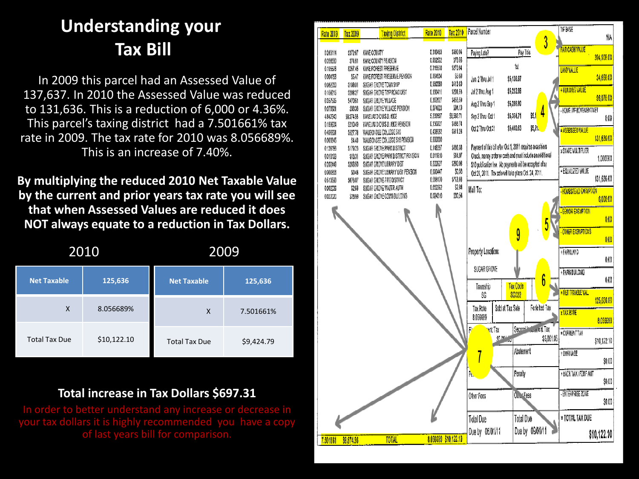## **Understanding your Tax Bill**

In 2009 this parcel had an Assessed Value of 137,637. In 2010 the Assessed Value was reduced to 131,636. This is a reduction of 6,000 or 4.36%. This parcel's taxing district had a 7.501661% tax rate in 2009. The tax rate for 2010 was 8.056689%. This is an increase of 7.40%.

**By multiplying the reduced 2010 Net Taxable Value by the current and prior years tax rate you will see that when Assessed Values are reduced it does NOT always equate to a reduction in Tax Dollars.**

|                      | 2010        | <u> 2009</u>         |            |  |
|----------------------|-------------|----------------------|------------|--|
| <b>Net Taxable</b>   | 125,636     | <b>Net Taxable</b>   | 125,636    |  |
| X                    | 8.056689%   | X                    | 7.501661%  |  |
| <b>Total Tax Due</b> | \$10,122.10 | <b>Total Tax Due</b> | \$9,424.79 |  |

#### **Total increase in Tax Dollars \$697.31**

your tax dollars it is highly recommended you have a copy of last years bill for comparison.